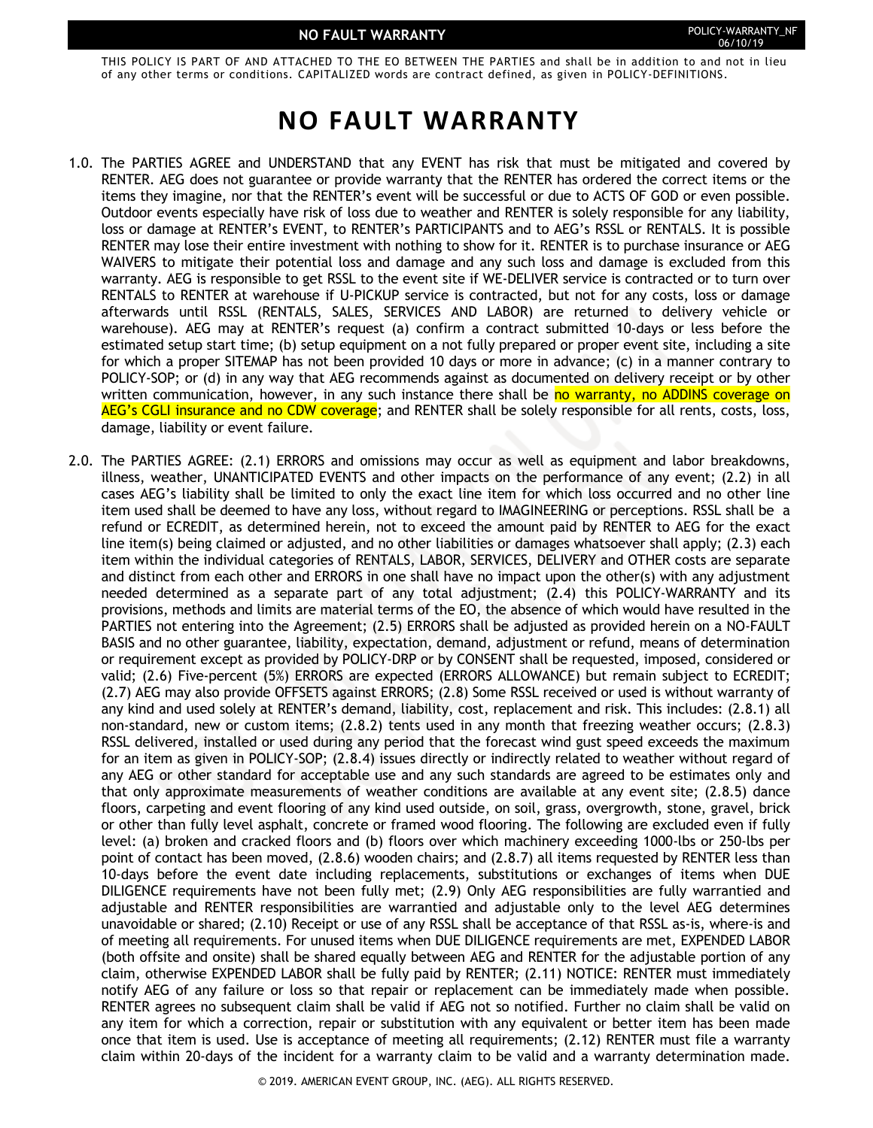THIS POLICY IS PART OF AND ATTACHED TO THE EO BETWEEN THE PARTIES and shall be in addition to and not in lieu of any other terms or conditions. CAPITALIZED words are contract defined, as given in POLICY-DEFINITIONS.

# **NO FAULT WARRANTY**

- 1.0. The PARTIES AGREE and UNDERSTAND that any EVENT has risk that must be mitigated and covered by RENTER. AEG does not guarantee or provide warranty that the RENTER has ordered the correct items or the items they imagine, nor that the RENTER's event will be successful or due to ACTS OF GOD or even possible. Outdoor events especially have risk of loss due to weather and RENTER is solely responsible for any liability, loss or damage at RENTER's EVENT, to RENTER's PARTICIPANTS and to AEG's RSSL or RENTALS. It is possible RENTER may lose their entire investment with nothing to show for it. RENTER is to purchase insurance or AEG WAIVERS to mitigate their potential loss and damage and any such loss and damage is excluded from this warranty. AEG is responsible to get RSSL to the event site if WE-DELIVER service is contracted or to turn over RENTALS to RENTER at warehouse if U-PICKUP service is contracted, but not for any costs, loss or damage afterwards until RSSL (RENTALS, SALES, SERVICES AND LABOR) are returned to delivery vehicle or warehouse). AEG may at RENTER's request (a) confirm a contract submitted 10-days or less before the estimated setup start time; (b) setup equipment on a not fully prepared or proper event site, including a site for which a proper SITEMAP has not been provided 10 days or more in advance; (c) in a manner contrary to POLICY-SOP; or (d) in any way that AEG recommends against as documented on delivery receipt or by other written communication, however, in any such instance there shall be no warranty, no ADDINS coverage on AEG's CGLI insurance and no CDW coverage; and RENTER shall be solely responsible for all rents, costs, loss, damage, liability or event failure.
- 2.0. The PARTIES AGREE: (2.1) ERRORS and omissions may occur as well as equipment and labor breakdowns, illness, weather, UNANTICIPATED EVENTS and other impacts on the performance of any event; (2.2) in all cases AEG's liability shall be limited to only the exact line item for which loss occurred and no other line item used shall be deemed to have any loss, without regard to IMAGINEERING or perceptions. RSSL shall be a refund or ECREDIT, as determined herein, not to exceed the amount paid by RENTER to AEG for the exact line item(s) being claimed or adjusted, and no other liabilities or damages whatsoever shall apply; (2.3) each item within the individual categories of RENTALS, LABOR, SERVICES, DELIVERY and OTHER costs are separate and distinct from each other and ERRORS in one shall have no impact upon the other(s) with any adjustment needed determined as a separate part of any total adjustment; (2.4) this POLICY-WARRANTY and its provisions, methods and limits are material terms of the EO, the absence of which would have resulted in the PARTIES not entering into the Agreement; (2.5) ERRORS shall be adjusted as provided herein on a NO-FAULT BASIS and no other guarantee, liability, expectation, demand, adjustment or refund, means of determination or requirement except as provided by POLICY-DRP or by CONSENT shall be requested, imposed, considered or valid; (2.6) Five-percent (5%) ERRORS are expected (ERRORS ALLOWANCE) but remain subject to ECREDIT; (2.7) AEG may also provide OFFSETS against ERRORS; (2.8) Some RSSL received or used is without warranty of any kind and used solely at RENTER's demand, liability, cost, replacement and risk. This includes: (2.8.1) all non-standard, new or custom items; (2.8.2) tents used in any month that freezing weather occurs; (2.8.3) RSSL delivered, installed or used during any period that the forecast wind gust speed exceeds the maximum for an item as given in POLICY-SOP; (2.8.4) issues directly or indirectly related to weather without regard of any AEG or other standard for acceptable use and any such standards are agreed to be estimates only and that only approximate measurements of weather conditions are available at any event site; (2.8.5) dance floors, carpeting and event flooring of any kind used outside, on soil, grass, overgrowth, stone, gravel, brick or other than fully level asphalt, concrete or framed wood flooring. The following are excluded even if fully level: (a) broken and cracked floors and (b) floors over which machinery exceeding 1000-lbs or 250-lbs per point of contact has been moved, (2.8.6) wooden chairs; and (2.8.7) all items requested by RENTER less than 10-days before the event date including replacements, substitutions or exchanges of items when DUE DILIGENCE requirements have not been fully met; (2.9) Only AEG responsibilities are fully warrantied and adjustable and RENTER responsibilities are warrantied and adjustable only to the level AEG determines unavoidable or shared; (2.10) Receipt or use of any RSSL shall be acceptance of that RSSL as-is, where-is and of meeting all requirements. For unused items when DUE DILIGENCE requirements are met, EXPENDED LABOR (both offsite and onsite) shall be shared equally between AEG and RENTER for the adjustable portion of any claim, otherwise EXPENDED LABOR shall be fully paid by RENTER; (2.11) NOTICE: RENTER must immediately notify AEG of any failure or loss so that repair or replacement can be immediately made when possible. RENTER agrees no subsequent claim shall be valid if AEG not so notified. Further no claim shall be valid on any item for which a correction, repair or substitution with any equivalent or better item has been made once that item is used. Use is acceptance of meeting all requirements; (2.12) RENTER must file a warranty claim within 20-days of the incident for a warranty claim to be valid and a warranty determination made.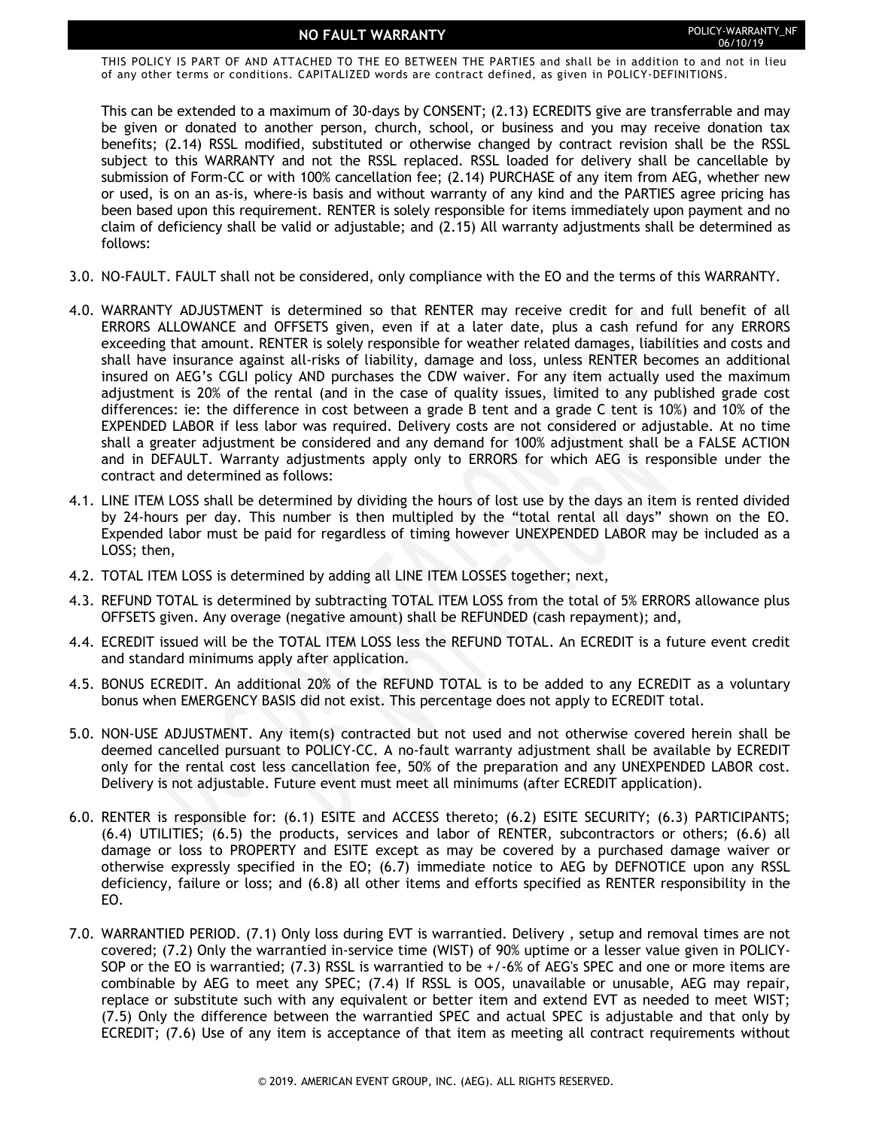### **NO FAULT WARRANTY POLICY-WARRANTY\_NF**

THIS POLICY IS PART OF AND ATTACHED TO THE EO BETWEEN THE PARTIES and shall be in addition to and not in lieu of any other terms or conditions. CAPITALIZED words are contract defined, as given in POLICY-DEFINITIONS.

This can be extended to a maximum of 30-days by CONSENT; (2.13) ECREDITS give are transferrable and may be given or donated to another person, church, school, or business and you may receive donation tax benefits; (2.14) RSSL modified, substituted or otherwise changed by contract revision shall be the RSSL subject to this WARRANTY and not the RSSL replaced. RSSL loaded for delivery shall be cancellable by submission of Form-CC or with 100% cancellation fee; (2.14) PURCHASE of any item from AEG, whether new or used, is on an as-is, where-is basis and without warranty of any kind and the PARTIES agree pricing has been based upon this requirement. RENTER is solely responsible for items immediately upon payment and no claim of deficiency shall be valid or adjustable; and (2.15) All warranty adjustments shall be determined as follows:

- 3.0. NO-FAULT. FAULT shall not be considered, only compliance with the EO and the terms of this WARRANTY.
- 4.0. WARRANTY ADJUSTMENT is determined so that RENTER may receive credit for and full benefit of all ERRORS ALLOWANCE and OFFSETS given, even if at a later date, plus a cash refund for any ERRORS exceeding that amount. RENTER is solely responsible for weather related damages, liabilities and costs and shall have insurance against all-risks of liability, damage and loss, unless RENTER becomes an additional insured on AEG's CGLI policy AND purchases the CDW waiver. For any item actually used the maximum adjustment is 20% of the rental (and in the case of quality issues, limited to any published grade cost differences: ie: the difference in cost between a grade B tent and a grade C tent is 10%) and 10% of the EXPENDED LABOR if less labor was required. Delivery costs are not considered or adjustable. At no time shall a greater adjustment be considered and any demand for 100% adjustment shall be a FALSE ACTION and in DEFAULT. Warranty adjustments apply only to ERRORS for which AEG is responsible under the contract and determined as follows:
- 4.1. LINE ITEM LOSS shall be determined by dividing the hours of lost use by the days an item is rented divided by 24-hours per day. This number is then multipled by the "total rental all days" shown on the EO. Expended labor must be paid for regardless of timing however UNEXPENDED LABOR may be included as a LOSS; then,
- 4.2. TOTAL ITEM LOSS is determined by adding all LINE ITEM LOSSES together; next,
- 4.3. REFUND TOTAL is determined by subtracting TOTAL ITEM LOSS from the total of 5% ERRORS allowance plus OFFSETS given. Any overage (negative amount) shall be REFUNDED (cash repayment); and,
- 4.4. ECREDIT issued will be the TOTAL ITEM LOSS less the REFUND TOTAL. An ECREDIT is a future event credit and standard minimums apply after application.
- 4.5. BONUS ECREDIT. An additional 20% of the REFUND TOTAL is to be added to any ECREDIT as a voluntary bonus when EMERGENCY BASIS did not exist. This percentage does not apply to ECREDIT total.
- 5.0. NON-USE ADJUSTMENT. Any item(s) contracted but not used and not otherwise covered herein shall be deemed cancelled pursuant to POLICY-CC. A no-fault warranty adjustment shall be available by ECREDIT only for the rental cost less cancellation fee, 50% of the preparation and any UNEXPENDED LABOR cost. Delivery is not adjustable. Future event must meet all minimums (after ECREDIT application).
- 6.0. RENTER is responsible for: (6.1) ESITE and ACCESS thereto; (6.2) ESITE SECURITY; (6.3) PARTICIPANTS; (6.4) UTILITIES; (6.5) the products, services and labor of RENTER, subcontractors or others; (6.6) all damage or loss to PROPERTY and ESITE except as may be covered by a purchased damage waiver or otherwise expressly specified in the EO; (6.7) immediate notice to AEG by DEFNOTICE upon any RSSL deficiency, failure or loss; and (6.8) all other items and efforts specified as RENTER responsibility in the EO.
- 7.0. WARRANTIED PERIOD. (7.1) Only loss during EVT is warrantied. Delivery , setup and removal times are not covered; (7.2) Only the warrantied in-service time (WIST) of 90% uptime or a lesser value given in POLICY-SOP or the EO is warrantied; (7.3) RSSL is warrantied to be +/-6% of AEG's SPEC and one or more items are combinable by AEG to meet any SPEC; (7.4) If RSSL is OOS, unavailable or unusable, AEG may repair, replace or substitute such with any equivalent or better item and extend EVT as needed to meet WIST; (7.5) Only the difference between the warrantied SPEC and actual SPEC is adjustable and that only by ECREDIT; (7.6) Use of any item is acceptance of that item as meeting all contract requirements without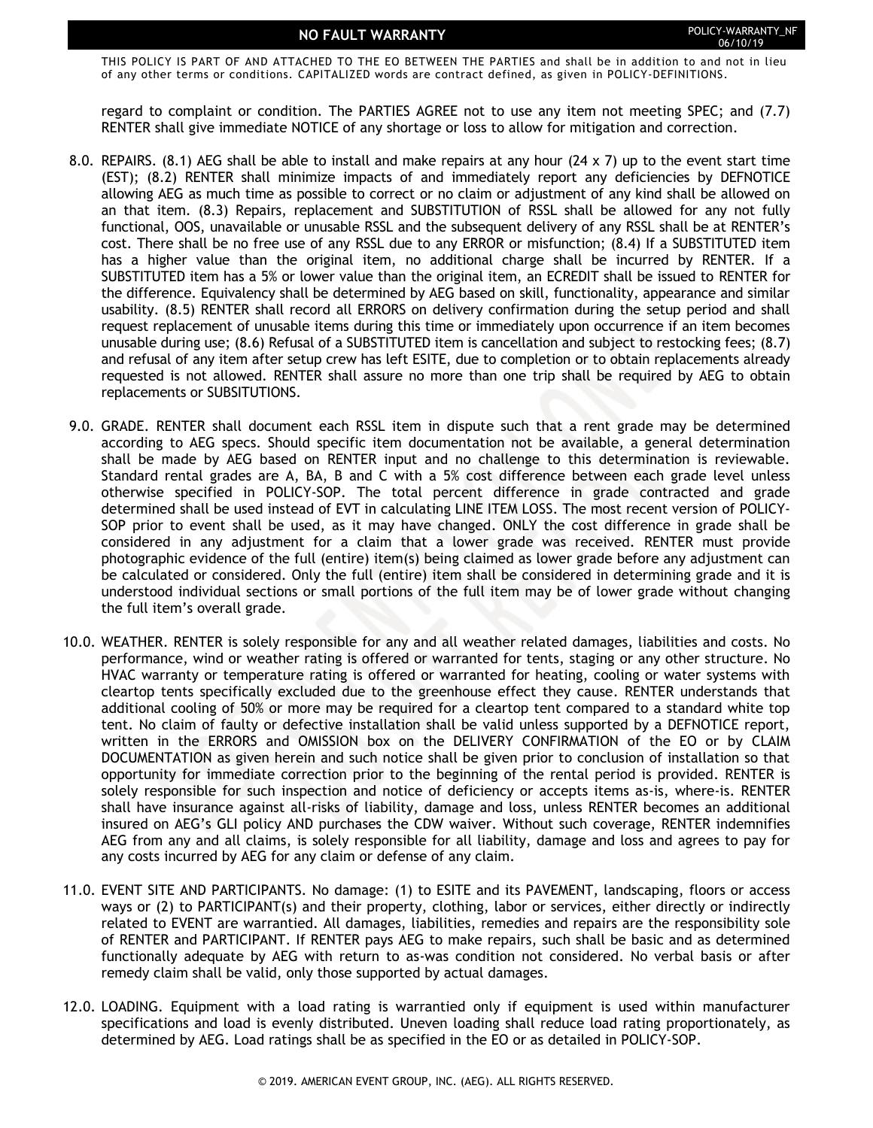## **NO FAULT WARRANTY POLICY-WARRANTY\_NF**

THIS POLICY IS PART OF AND ATTACHED TO THE EO BETWEEN THE PARTIES and shall be in addition to and not in lieu of any other terms or conditions. CAPITALIZED words are contract defined, as given in POLICY-DEFINITIONS.

regard to complaint or condition. The PARTIES AGREE not to use any item not meeting SPEC; and (7.7) RENTER shall give immediate NOTICE of any shortage or loss to allow for mitigation and correction.

- 8.0. REPAIRS. (8.1) AEG shall be able to install and make repairs at any hour (24 x 7) up to the event start time (EST); (8.2) RENTER shall minimize impacts of and immediately report any deficiencies by DEFNOTICE allowing AEG as much time as possible to correct or no claim or adjustment of any kind shall be allowed on an that item. (8.3) Repairs, replacement and SUBSTITUTION of RSSL shall be allowed for any not fully functional, OOS, unavailable or unusable RSSL and the subsequent delivery of any RSSL shall be at RENTER's cost. There shall be no free use of any RSSL due to any ERROR or misfunction; (8.4) If a SUBSTITUTED item has a higher value than the original item, no additional charge shall be incurred by RENTER. If a SUBSTITUTED item has a 5% or lower value than the original item, an ECREDIT shall be issued to RENTER for the difference. Equivalency shall be determined by AEG based on skill, functionality, appearance and similar usability. (8.5) RENTER shall record all ERRORS on delivery confirmation during the setup period and shall request replacement of unusable items during this time or immediately upon occurrence if an item becomes unusable during use; (8.6) Refusal of a SUBSTITUTED item is cancellation and subject to restocking fees; (8.7) and refusal of any item after setup crew has left ESITE, due to completion or to obtain replacements already requested is not allowed. RENTER shall assure no more than one trip shall be required by AEG to obtain replacements or SUBSITUTIONS.
- 9.0. GRADE. RENTER shall document each RSSL item in dispute such that a rent grade may be determined according to AEG specs. Should specific item documentation not be available, a general determination shall be made by AEG based on RENTER input and no challenge to this determination is reviewable. Standard rental grades are A, BA, B and C with a 5% cost difference between each grade level unless otherwise specified in POLICY-SOP. The total percent difference in grade contracted and grade determined shall be used instead of EVT in calculating LINE ITEM LOSS. The most recent version of POLICY-SOP prior to event shall be used, as it may have changed. ONLY the cost difference in grade shall be considered in any adjustment for a claim that a lower grade was received. RENTER must provide photographic evidence of the full (entire) item(s) being claimed as lower grade before any adjustment can be calculated or considered. Only the full (entire) item shall be considered in determining grade and it is understood individual sections or small portions of the full item may be of lower grade without changing the full item's overall grade.
- 10.0. WEATHER. RENTER is solely responsible for any and all weather related damages, liabilities and costs. No performance, wind or weather rating is offered or warranted for tents, staging or any other structure. No HVAC warranty or temperature rating is offered or warranted for heating, cooling or water systems with cleartop tents specifically excluded due to the greenhouse effect they cause. RENTER understands that additional cooling of 50% or more may be required for a cleartop tent compared to a standard white top tent. No claim of faulty or defective installation shall be valid unless supported by a DEFNOTICE report, written in the ERRORS and OMISSION box on the DELIVERY CONFIRMATION of the EO or by CLAIM DOCUMENTATION as given herein and such notice shall be given prior to conclusion of installation so that opportunity for immediate correction prior to the beginning of the rental period is provided. RENTER is solely responsible for such inspection and notice of deficiency or accepts items as-is, where-is. RENTER shall have insurance against all-risks of liability, damage and loss, unless RENTER becomes an additional insured on AEG's GLI policy AND purchases the CDW waiver. Without such coverage, RENTER indemnifies AEG from any and all claims, is solely responsible for all liability, damage and loss and agrees to pay for any costs incurred by AEG for any claim or defense of any claim.
- 11.0. EVENT SITE AND PARTICIPANTS. No damage: (1) to ESITE and its PAVEMENT, landscaping, floors or access ways or (2) to PARTICIPANT(s) and their property, clothing, labor or services, either directly or indirectly related to EVENT are warrantied. All damages, liabilities, remedies and repairs are the responsibility sole of RENTER and PARTICIPANT. If RENTER pays AEG to make repairs, such shall be basic and as determined functionally adequate by AEG with return to as-was condition not considered. No verbal basis or after remedy claim shall be valid, only those supported by actual damages.
- 12.0. LOADING. Equipment with a load rating is warrantied only if equipment is used within manufacturer specifications and load is evenly distributed. Uneven loading shall reduce load rating proportionately, as determined by AEG. Load ratings shall be as specified in the EO or as detailed in POLICY-SOP.